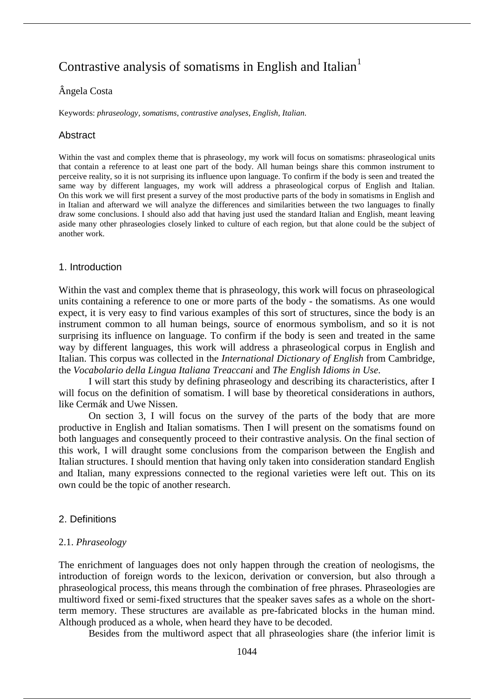# Contrastive analysis of somatisms in English and Italian<sup>1</sup>

# Ângela Costa

Keywords: *phraseology*, *somatisms*, *contrastive analyses*, *English*, *Italian*.

# **Abstract**

Within the vast and complex theme that is phraseology, my work will focus on somatisms: phraseological units that contain a reference to at least one part of the body. All human beings share this common instrument to perceive reality, so it is not surprising its influence upon language. To confirm if the body is seen and treated the same way by different languages, my work will address a phraseological corpus of English and Italian. On this work we will first present a survey of the most productive parts of the body in somatisms in English and in Italian and afterward we will analyze the differences and similarities between the two languages to finally draw some conclusions. I should also add that having just used the standard Italian and English, meant leaving aside many other phraseologies closely linked to culture of each region, but that alone could be the subject of another work.

#### 1. Introduction

Within the vast and complex theme that is phraseology, this work will focus on phraseological units containing a reference to one or more parts of the body - the somatisms. As one would expect, it is very easy to find various examples of this sort of structures, since the body is an instrument common to all human beings, source of enormous symbolism, and so it is not surprising its influence on language. To confirm if the body is seen and treated in the same way by different languages, this work will address a phraseological corpus in English and Italian. This corpus was collected in the *International Dictionary of English* from Cambridge, the *Vocabolario della Lingua Italiana Treaccani* and *The English Idioms in Use*.

I will start this study by defining phraseology and describing its characteristics, after I will focus on the definition of somatism. I will base by theoretical considerations in authors, like Cermák and Uwe Nissen.

On section 3, I will focus on the survey of the parts of the body that are more productive in English and Italian somatisms. Then I will present on the somatisms found on both languages and consequently proceed to their contrastive analysis. On the final section of this work, I will draught some conclusions from the comparison between the English and Italian structures. I should mention that having only taken into consideration standard English and Italian, many expressions connected to the regional varieties were left out. This on its own could be the topic of another research.

# 2. Definitions

#### 2.1. *Phraseology*

The enrichment of languages does not only happen through the creation of neologisms, the introduction of foreign words to the lexicon, derivation or conversion, but also through a phraseological process, this means through the combination of free phrases. Phraseologies are multiword fixed or semi-fixed structures that the speaker saves safes as a whole on the shortterm memory. These structures are available as pre-fabricated blocks in the human mind. Although produced as a whole, when heard they have to be decoded.

Besides from the multiword aspect that all phraseologies share (the inferior limit is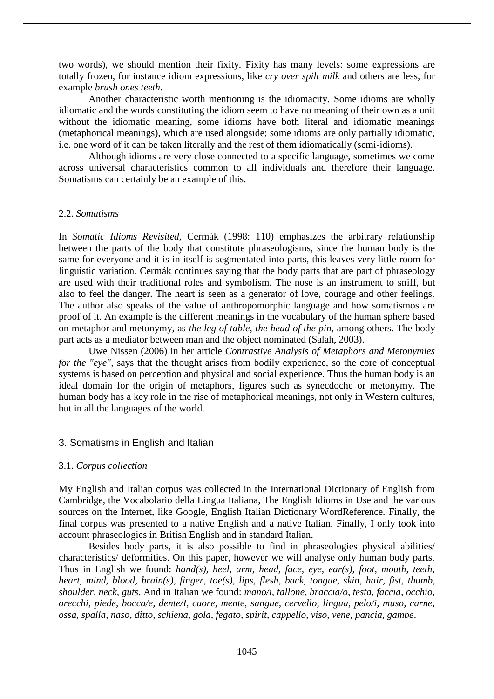two words), we should mention their fixity. Fixity has many levels: some expressions are totally frozen, for instance idiom expressions, like *cry over spilt milk* and others are less, for example *brush ones teeth*.

Another characteristic worth mentioning is the idiomacity. Some idioms are wholly idiomatic and the words constituting the idiom seem to have no meaning of their own as a unit without the idiomatic meaning, some idioms have both literal and idiomatic meanings (metaphorical meanings), which are used alongside; some idioms are only partially idiomatic, i.e. one word of it can be taken literally and the rest of them idiomatically (semi-idioms).

Although idioms are very close connected to a specific language, sometimes we come across universal characteristics common to all individuals and therefore their language. Somatisms can certainly be an example of this.

# 2.2. *Somatisms*

In *Somatic Idioms Revisited*, Cermák (1998: 110) emphasizes the arbitrary relationship between the parts of the body that constitute phraseologisms, since the human body is the same for everyone and it is in itself is segmentated into parts, this leaves very little room for linguistic variation. Cermák continues saying that the body parts that are part of phraseology are used with their traditional roles and symbolism. The nose is an instrument to sniff, but also to feel the danger. The heart is seen as a generator of love, courage and other feelings. The author also speaks of the value of anthropomorphic language and how somatismos are proof of it. An example is the different meanings in the vocabulary of the human sphere based on metaphor and metonymy, as *the leg of table*, *the head of the pin*, among others. The body part acts as a mediator between man and the object nominated (Salah, 2003).

Uwe Nissen (2006) in her article *Contrastive Analysis of Metaphors and Metonymies for the "eye"*, says that the thought arises from bodily experience, so the core of conceptual systems is based on perception and physical and social experience. Thus the human body is an ideal domain for the origin of metaphors, figures such as synecdoche or metonymy. The human body has a key role in the rise of metaphorical meanings, not only in Western cultures, but in all the languages of the world.

# 3. Somatisms in English and Italian

# 3.1. *Corpus collection*

My English and Italian corpus was collected in the International Dictionary of English from Cambridge, the Vocabolario della Lingua Italiana, The English Idioms in Use and the various sources on the Internet, like Google, English Italian Dictionary WordReference. Finally, the final corpus was presented to a native English and a native Italian. Finally, I only took into account phraseologies in British English and in standard Italian.

Besides body parts, it is also possible to find in phraseologies physical abilities/ characteristics/ deformities. On this paper, however we will analyse only human body parts. Thus in English we found: *hand(s), heel, arm, head, face, eye, ear(s), foot, mouth, teeth, heart, mind, blood, brain(s), finger, toe(s), lips, flesh, back, tongue, skin, hair, fist, thumb, shoulder, neck, guts*. And in Italian we found: *mano/i, tallone, braccia/o, testa, faccia, occhio, orecchi, piede, bocca/e, dente/I, cuore, mente, sangue, cervello, lingua, pelo/i, muso, carne, ossa, spalla, naso, ditto, schiena, gola, fegato, spirit, cappello, viso, vene, pancia, gambe*.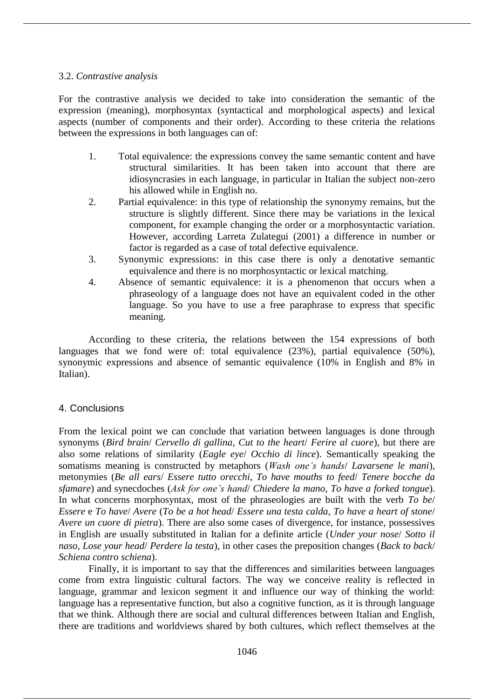#### 3.2. *Contrastive analysis*

For the contrastive analysis we decided to take into consideration the semantic of the expression (meaning), morphosyntax (syntactical and morphological aspects) and lexical aspects (number of components and their order). According to these criteria the relations between the expressions in both languages can of:

- 1. Total equivalence: the expressions convey the same semantic content and have structural similarities. It has been taken into account that there are idiosyncrasies in each language, in particular in Italian the subject non-zero his allowed while in English no.
- 2. Partial equivalence: in this type of relationship the synonymy remains, but the structure is slightly different. Since there may be variations in the lexical component, for example changing the order or a morphosyntactic variation. However, according Larreta Zulategui (2001) a difference in number or factor is regarded as a case of total defective equivalence.
- 3. Synonymic expressions: in this case there is only a denotative semantic equivalence and there is no morphosyntactic or lexical matching.
- 4. Absence of semantic equivalence: it is a phenomenon that occurs when a phraseology of a language does not have an equivalent coded in the other language. So you have to use a free paraphrase to express that specific meaning.

According to these criteria, the relations between the 154 expressions of both languages that we fond were of: total equivalence (23%), partial equivalence (50%), synonymic expressions and absence of semantic equivalence (10% in English and 8% in Italian).

# 4. Conclusions

From the lexical point we can conclude that variation between languages is done through synonyms (*Bird brain*/ *Cervello di gallina*, *Cut to the heart*/ *Ferire al cuore*), but there are also some relations of similarity (*Eagle eye*/ *Occhio di lince*). Semantically speaking the somatisms meaning is constructed by metaphors (*Wash one's hands*/ *Lavarsene le mani*), metonymies (*Be all ears*/ *Essere tutto orecchi*, *To have mouths to feed*/ *Tenere bocche da sfamare*) and synecdoches (*Ask for one's hand*/ *Chiedere la mano*, *To have a forked tongue*). In what concerns morphosyntax, most of the phraseologies are built with the verb *To be*/ *Essere* e *To have*/ *Avere* (*To be a hot head*/ *Essere una testa calda*, *To have a heart of stone*/ *Avere un cuore di pietra*). There are also some cases of divergence, for instance, possessives in English are usually substituted in Italian for a definite article (*Under your nose*/ *Sotto il naso*, *Lose your head*/ *Perdere la testa*), in other cases the preposition changes (*Back to back*/ *Schiena contro schiena*).

Finally, it is important to say that the differences and similarities between languages come from extra linguistic cultural factors. The way we conceive reality is reflected in language, grammar and lexicon segment it and influence our way of thinking the world: language has a representative function, but also a cognitive function, as it is through language that we think. Although there are social and cultural differences between Italian and English, there are traditions and worldviews shared by both cultures, which reflect themselves at the